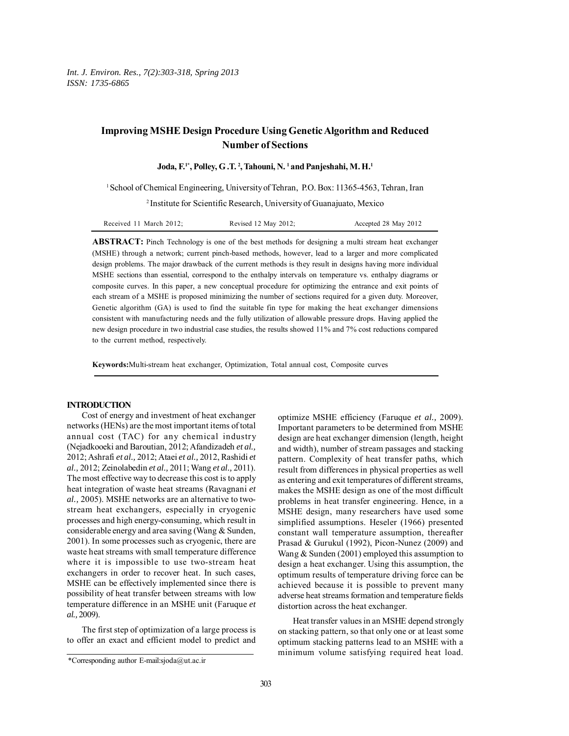# **Improving MSHE Design Procedure Using Genetic Algorithm and Reduced Number of Sections**

Joda, F.<sup>1\*</sup>, Polley, G.T.<sup>2</sup>, Tahouni, N.<sup>1</sup> and Panjeshahi, M.H.<sup>1</sup>

1 School of Chemical Engineering, University of Tehran, P.O. Box: 11365-4563, Tehran, Iran

2 Institute for Scientific Research, University of Guanajuato, Mexico

| Received 11 March 2012; | Revised 12 May 2012; | Accepted 28 May 2012 |
|-------------------------|----------------------|----------------------|
|-------------------------|----------------------|----------------------|

**ABSTRACT:** Pinch Technology is one of the best methods for designing a multi stream heat exchanger (MSHE) through a network; current pinch-based methods, however, lead to a larger and more complicated design problems. The major drawback of the current methods is they result in designs having more individual MSHE sections than essential, correspond to the enthalpy intervals on temperature vs. enthalpy diagrams or composite curves. In this paper, a new conceptual procedure for optimizing the entrance and exit points of each stream of a MSHE is proposed minimizing the number of sections required for a given duty. Moreover, Genetic algorithm (GA) is used to find the suitable fin type for making the heat exchanger dimensions consistent with manufacturing needs and the fully utilization of allowable pressure drops. Having applied the new design procedure in two industrial case studies, the results showed 11% and 7% cost reductions compared to the current method, respectively.

**Keywords:**Multi-stream heat exchanger, Optimization, Total annual cost, Composite curves

### **INTRODUCTION**

Cost of energy and investment of heat exchanger networks (HENs) are the most important items of total annual cost (TAC) for any chemical industry (Nejadkooeki and Baroutian, 2012; Afandizadeh *et al.,* 2012; Ashrafi *et al.,* 2012; Ataei *et al.,* 2012, Rashidi *et al.,* 2012; Zeinolabedin *et al.,* 2011; Wang *et al.,* 2011). The most effective way to decrease this cost is to apply heat integration of waste heat streams (Ravagnani *et al.,* 2005). MSHE networks are an alternative to twostream heat exchangers, especially in cryogenic processes and high energy-consuming, which result in considerable energy and area saving (Wang & Sunden, 2001). In some processes such as cryogenic, there are waste heat streams with small temperature difference where it is impossible to use two-stream heat exchangers in order to recover heat. In such cases, MSHE can be effectively implemented since there is possibility of heat transfer between streams with low temperature difference in an MSHE unit (Faruque *et al.,* 2009).

The first step of optimization of a large process is to offer an exact and efficient model to predict and optimize MSHE efficiency (Faruque *et al.,* 2009). Important parameters to be determined from MSHE design are heat exchanger dimension (length, height and width), number of stream passages and stacking pattern. Complexity of heat transfer paths, which result from differences in physical properties as well as entering and exit temperatures of different streams, makes the MSHE design as one of the most difficult problems in heat transfer engineering. Hence, in a MSHE design, many researchers have used some simplified assumptions. Heseler (1966) presented constant wall temperature assumption, thereafter Prasad & Gurukul (1992), Picon-Nunez (2009) and Wang & Sunden (2001) employed this assumption to design a heat exchanger. Using this assumption, the optimum results of temperature driving force can be achieved because it is possible to prevent many adverse heat streams formation and temperature fields distortion across the heat exchanger.

Heat transfer values in an MSHE depend strongly on stacking pattern, so that only one or at least some optimum stacking patterns lead to an MSHE with a minimum volume satisfying required heat load.

<sup>\*</sup>Corresponding author E-mail:sjoda@ut.ac.ir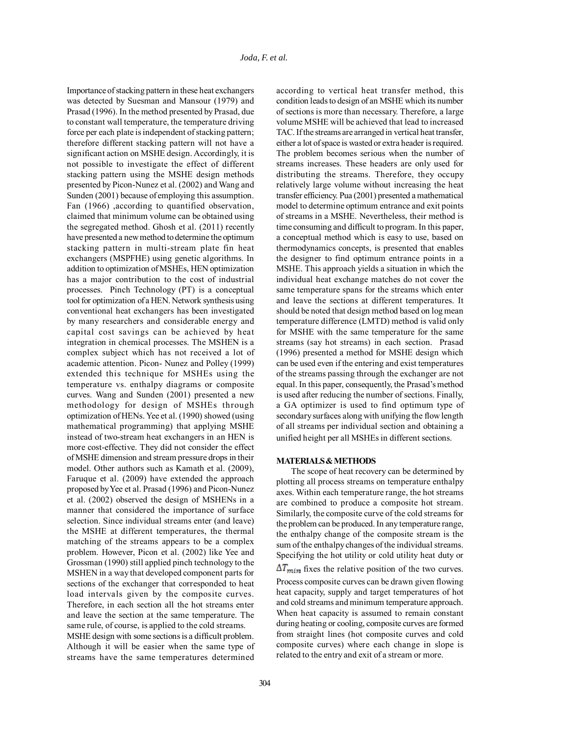Importance of stacking pattern in these heat exchangers was detected by Suesman and Mansour (1979) and Prasad (1996). In the method presented by Prasad, due to constant wall temperature, the temperature driving force per each plate is independent of stacking pattern; therefore different stacking pattern will not have a significant action on MSHE design. Accordingly, it is not possible to investigate the effect of different stacking pattern using the MSHE design methods presented by Picon-Nunez et al. (2002) and Wang and Sunden (2001) because of employing this assumption. Fan (1966) ,according to quantified observation, claimed that minimum volume can be obtained using the segregated method. Ghosh et al. (2011) recently have presented a new method to determine the optimum stacking pattern in multi-stream plate fin heat exchangers (MSPFHE) using genetic algorithms. In addition to optimization of MSHEs, HEN optimization has a major contribution to the cost of industrial processes. Pinch Technology (PT) is a conceptual tool for optimization of a HEN. Network synthesis using conventional heat exchangers has been investigated by many researchers and considerable energy and capital cost savings can be achieved by heat integration in chemical processes. The MSHEN is a complex subject which has not received a lot of academic attention. Picon- Nunez and Polley (1999) extended this technique for MSHEs using the temperature vs. enthalpy diagrams or composite curves. Wang and Sunden (2001) presented a new methodology for design of MSHEs through optimization of HENs. Yee et al. (1990) showed (using mathematical programming) that applying MSHE instead of two-stream heat exchangers in an HEN is more cost-effective. They did not consider the effect of MSHE dimension and stream pressure drops in their model. Other authors such as Kamath et al. (2009), Faruque et al. (2009) have extended the approach proposed by Yee et al. Prasad (1996) and Picon-Nunez et al. (2002) observed the design of MSHENs in a manner that considered the importance of surface selection. Since individual streams enter (and leave) the MSHE at different temperatures, the thermal matching of the streams appears to be a complex problem. However, Picon et al. (2002) like Yee and Grossman (1990) still applied pinch technology to the MSHEN in a way that developed component parts for sections of the exchanger that corresponded to heat load intervals given by the composite curves. Therefore, in each section all the hot streams enter and leave the section at the same temperature. The same rule, of course, is applied to the cold streams. MSHE design with some sections is a difficult problem. Although it will be easier when the same type of streams have the same temperatures determined

according to vertical heat transfer method, this condition leads to design of an MSHE which its number of sections is more than necessary. Therefore, a large volume MSHE will be achieved that lead to increased TAC. If the streams are arranged in vertical heat transfer, either a lot of space is wasted or extra header is required. The problem becomes serious when the number of streams increases. These headers are only used for distributing the streams. Therefore, they occupy relatively large volume without increasing the heat transfer efficiency. Pua (2001) presented a mathematical model to determine optimum entrance and exit points of streams in a MSHE. Nevertheless, their method is time consuming and difficult to program. In this paper, a conceptual method which is easy to use, based on thermodynamics concepts, is presented that enables the designer to find optimum entrance points in a MSHE. This approach yields a situation in which the individual heat exchange matches do not cover the same temperature spans for the streams which enter and leave the sections at different temperatures. It should be noted that design method based on log mean temperature difference (LMTD) method is valid only for MSHE with the same temperature for the same streams (say hot streams) in each section. Prasad (1996) presented a method for MSHE design which can be used even if the entering and exist temperatures of the streams passing through the exchanger are not equal. In this paper, consequently, the Prasad's method is used after reducing the number of sections. Finally, a GA optimizer is used to find optimum type of secondary surfaces along with unifying the flow length of all streams per individual section and obtaining a unified height per all MSHEs in different sections.

### **MATERIALS & METHODS**

The scope of heat recovery can be determined by plotting all process streams on temperature enthalpy axes. Within each temperature range, the hot streams are combined to produce a composite hot stream. Similarly, the composite curve of the cold streams for the problem can be produced. In any temperature range, the enthalpy change of the composite stream is the sum of the enthalpy changes of the individual streams. Specifying the hot utility or cold utility heat duty or  $\Delta T_{min}$  fixes the relative position of the two curves. Process composite curves can be drawn given flowing heat capacity, supply and target temperatures of hot and cold streams and minimum temperature approach. When heat capacity is assumed to remain constant during heating or cooling, composite curves are formed from straight lines (hot composite curves and cold composite curves) where each change in slope is related to the entry and exit of a stream or more.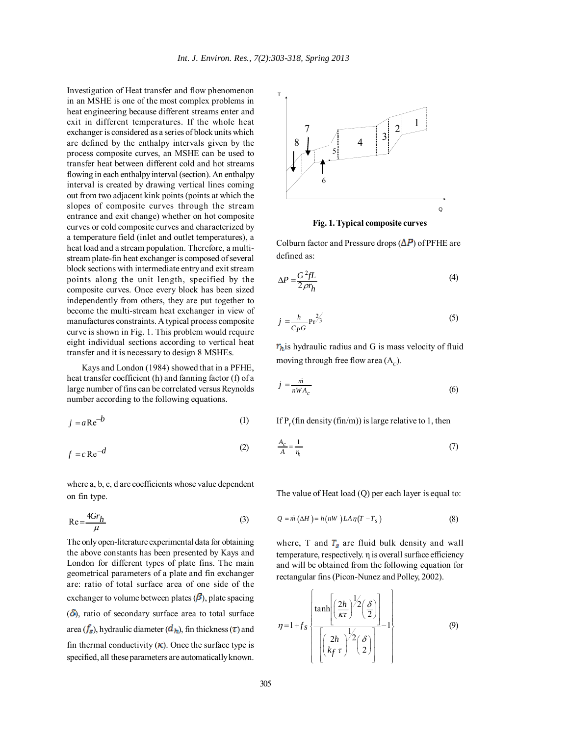Investigation of Heat transfer and flow phenomenon in an MSHE is one of the most complex problems in heat engineering because different streams enter and exit in different temperatures. If the whole heat exchanger is considered as a series of block units which are defined by the enthalpy intervals given by the process composite curves, an MSHE can be used to transfer heat between different cold and hot streams flowing in each enthalpy interval (section). An enthalpy interval is created by drawing vertical lines coming out from two adjacent kink points (points at which the slopes of composite curves through the stream entrance and exit change) whether on hot composite curves or cold composite curves and characterized by a temperature field (inlet and outlet temperatures), a heat load and a stream population. Therefore, a multistream plate-fin heat exchanger is composed of several block sections with intermediate entry and exit stream points along the unit length, specified by the composite curves. Once every block has been sized independently from others, they are put together to become the multi-stream heat exchanger in view of manufactures constraints. A typical process composite curve is shown in Fig. 1. This problem would require eight individual sections according to vertical heat transfer and it is necessary to design 8 MSHEs.

Kays and London (1984) showed that in a PFHE, heat transfer coefficient (h) and fanning factor (f) of a large number of fins can be correlated versus Reynolds number according to the following equations.

 $i = aRe^{-b}$  (1)

$$
f = c \operatorname{Re}^{-d} \tag{2}
$$

where a, b, c, d are coefficients whose value dependent on fin type.

$$
Re = \frac{4Gr_h}{\mu}
$$
 (3)

The only open-literature experimental data for obtaining the above constants has been presented by Kays and London for different types of plate fins. The main geometrical parameters of a plate and fin exchanger are: ratio of total surface area of one side of the exchanger to volume between plates  $(\beta)$ , plate spacing  $(\delta)$ , ratio of secondary surface area to total surface area ( $f_s$ ), hydraulic diameter ( $d_h$ ), fin thickness ( $\tau$ ) and fin thermal conductivity  $(K)$ . Once the surface type is specified, all these parameters are automatically known.



**Fig. 1. Typical composite curves**

Colburn factor and Pressure drops  $(\Delta P)$  of PFHE are defined as:

$$
\Delta P = \frac{G^2 f L}{2 \rho r_h} \tag{4}
$$

$$
j = \frac{h}{C_P G} \Pr^{2/3}
$$
 (5)

 $r<sub>h</sub>$  is hydraulic radius and G is mass velocity of fluid moving through free flow area  $(A<sub>c</sub>)$ .

$$
j = \frac{\dot{m}}{nWA_c} \tag{6}
$$

If  $P_f$  (fin density (fin/m)) is large relative to 1, then

$$
\frac{A_c}{A} = \frac{1}{r_h} \tag{7}
$$

The value of Heat load (Q) per each layer is equal to:

$$
Q = m \left(\Delta H\right) = h\left(nW\right)LA\eta\left(T - T_s\right) \tag{8}
$$

where, T and  $T_s$  are fluid bulk density and wall temperature, respectively. η is overall surface efficiency and will be obtained from the following equation for rectangular fins (Picon-Nunez and Polley, 2002).

$$
\eta = 1 + f_s \left\{ \frac{\tanh\left[\left(\frac{2h}{\kappa \tau}\right)^{\frac{1}{2}}\left(\frac{\delta}{2}\right)\right]}{\left[\left(\frac{2h}{k_f \tau}\right)^{\frac{1}{2}}\left(\frac{\delta}{2}\right)\right]} - 1 \right\}
$$
(9)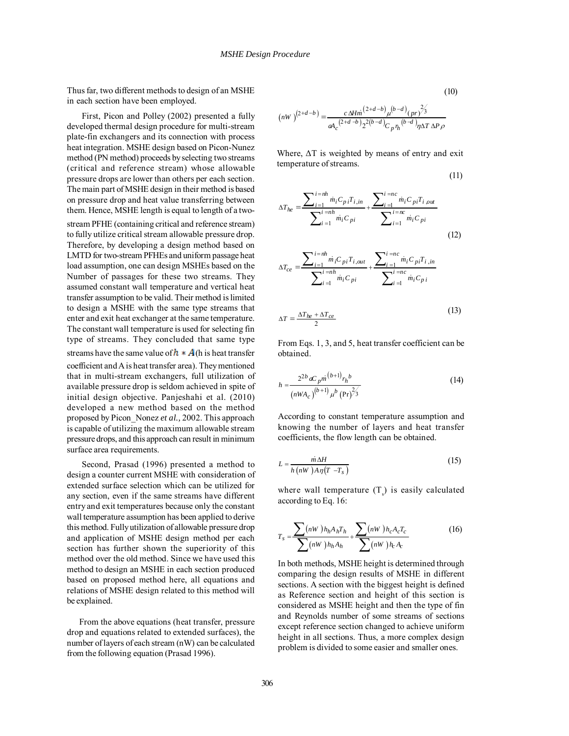Thus far, two different methods to design of an MSHE in each section have been employed.

First, Picon and Polley (2002) presented a fully developed thermal design procedure for multi-stream plate-fin exchangers and its connection with process heat integration. MSHE design based on Picon-Nunez method (PN method) proceeds by selecting two streams (critical and reference stream) whose allowable pressure drops are lower than others per each section. The main part of MSHE design in their method is based on pressure drop and heat value transferring between them. Hence, MSHE length is equal to length of a two-

stream PFHE (containing critical and reference stream) to fully utilize critical stream allowable pressure drop. Therefore, by developing a design method based on LMTD for two-stream PFHEs and uniform passage heat load assumption, one can design MSHEs based on the Number of passages for these two streams. They assumed constant wall temperature and vertical heat transfer assumption to be valid. Their method is limited to design a MSHE with the same type streams that enter and exit heat exchanger at the same temperature. The constant wall temperature is used for selecting fin type of streams. They concluded that same type streams have the same value of  $h * A$  (h is heat transfer coefficient and A is heat transfer area). They mentioned that in multi-stream exchangers, full utilization of available pressure drop is seldom achieved in spite of initial design objective. Panjeshahi et al. (2010) developed a new method based on the method proposed by Picon\_Nonez *et al.,* 2002. This approach is capable of utilizing the maximum allowable stream pressure drops, and this approach can result in minimum surface area requirements.

Second, Prasad (1996) presented a method to design a counter current MSHE with consideration of extended surface selection which can be utilized for any section, even if the same streams have different entry and exit temperatures because only the constant wall temperature assumption has been applied to derive this method. Fully utilization of allowable pressure drop and application of MSHE design method per each section has further shown the superiority of this method over the old method. Since we have used this method to design an MSHE in each section produced based on proposed method here, all equations and relations of MSHE design related to this method will be explained.

From the above equations (heat transfer, pressure drop and equations related to extended surfaces), the number of layers of each stream (nW) can be calculated from the following equation (Prasad 1996).

$$
(nW)^{(2+d-b)} = \frac{c \Delta H m^{(2+d-b)} \mu^{(b-d)} (pr)^{2/3}}{\alpha A_c^{(2+d-b)} 2^{2(b-d)} C_p r_h^{(b-d)} \eta \Delta T \Delta P \rho}
$$

Where, ∆T is weighted by means of entry and exit temperature of streams.

$$
(11)
$$

(10)

$$
\Delta T_{he} = \frac{\sum_{i=1}^{i=nh} \dot{m}_i C_{pi} T_{i,in}}{\sum_{i=1}^{i=nh} \dot{m}_i C_{pi}} + \frac{\sum_{i=1}^{i=nc} \dot{m}_i C_{pi} T_{i,out}}{\sum_{i=1}^{i=nc} \dot{m}_i C_{pi}}
$$
(12)

$$
\Delta T_{ce} = \frac{\sum_{i=1}^{i=nh} m_i C_{pi} T_{i,out}}{\sum_{i=1}^{i=nh} m_i C_{pi}} + \frac{\sum_{i=1}^{i=nc} m_i C_{pi} T_{i,in}}{\sum_{i=1}^{i=nc} m_i C_{pi}}
$$

$$
\Delta T = \frac{\Delta T_{he} + \Delta T_{ce}}{2} \tag{13}
$$

From Eqs. 1, 3, and 5, heat transfer coefficient can be obtained.

$$
h = \frac{2^{2b} a C_p m^{(b+1)} r_h b}{(n W A_c)^{(b+1)} \mu^b (Pr)^{2/3}}
$$
(14)

According to constant temperature assumption and knowing the number of layers and heat transfer coefficients, the flow length can be obtained.

$$
L = \frac{\dot{m}\,\Delta H}{h\left(nW\right)\,A\,\eta\left(T\,-T_s\right)}\tag{15}
$$

where wall temperature  $(T<sub>s</sub>)$  is easily calculated according to Eq. 16:

$$
T_s = \frac{\sum (nW) h_h A_h T_h}{\sum (nW) h_h A_h} + \frac{\sum (nW) h_c A_c T_c}{\sum (nW) h_c A_c}
$$
(16)

In both methods, MSHE height is determined through comparing the design results of MSHE in different sections. A section with the biggest height is defined as Reference section and height of this section is considered as MSHE height and then the type of fin and Reynolds number of some streams of sections except reference section changed to achieve uniform height in all sections. Thus, a more complex design problem is divided to some easier and smaller ones.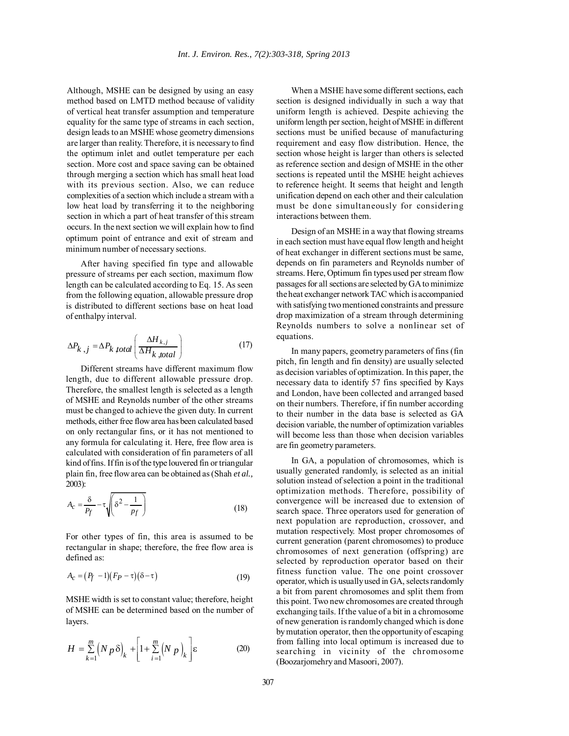Although, MSHE can be designed by using an easy method based on LMTD method because of validity of vertical heat transfer assumption and temperature equality for the same type of streams in each section, design leads to an MSHE whose geometry dimensions are larger than reality. Therefore, it is necessary to find the optimum inlet and outlet temperature per each section. More cost and space saving can be obtained through merging a section which has small heat load with its previous section. Also, we can reduce complexities of a section which include a stream with a low heat load by transferring it to the neighboring section in which a part of heat transfer of this stream occurs. In the next section we will explain how to find optimum point of entrance and exit of stream and minimum number of necessary sections.

After having specified fin type and allowable pressure of streams per each section, maximum flow length can be calculated according to Eq. 15. As seen from the following equation, allowable pressure drop is distributed to different sections base on heat load of enthalpy interval.

$$
\Delta P_{k,j} = \Delta P_{k\ total} \left( \frac{\Delta H_{k,j}}{\Delta H_{k\ total}} \right) \tag{17}
$$

Different streams have different maximum flow length, due to different allowable pressure drop. Therefore, the smallest length is selected as a length of MSHE and Reynolds number of the other streams must be changed to achieve the given duty. In current methods, either free flow area has been calculated based on only rectangular fins, or it has not mentioned to any formula for calculating it. Here, free flow area is calculated with consideration of fin parameters of all kind of fins. If fin is of the type louvered fin or triangular plain fin, free flow area can be obtained as (Shah *et al.,* 2003):

$$
A_c = \frac{\delta}{P_f} - \tau \sqrt{\delta^2 - \frac{1}{P_f}}
$$
 (18)

For other types of fin, this area is assumed to be rectangular in shape; therefore, the free flow area is defined as:

$$
A_c = (P_f - 1)(F_P - \tau)(\delta - \tau) \tag{19}
$$

MSHE width is set to constant value; therefore, height of MSHE can be determined based on the number of layers.

$$
H = \sum_{k=1}^{m} \left( N p \delta \right)_k + \left[ 1 + \sum_{i=1}^{m} \left( N p \right)_k \right] \varepsilon \tag{20}
$$

When a MSHE have some different sections, each section is designed individually in such a way that uniform length is achieved. Despite achieving the uniform length per section, height of MSHE in different sections must be unified because of manufacturing requirement and easy flow distribution. Hence, the section whose height is larger than others is selected as reference section and design of MSHE in the other sections is repeated until the MSHE height achieves to reference height. It seems that height and length unification depend on each other and their calculation must be done simultaneously for considering interactions between them.

Design of an MSHE in a way that flowing streams in each section must have equal flow length and height of heat exchanger in different sections must be same, depends on fin parameters and Reynolds number of streams. Here, Optimum fin types used per stream flow passages for all sections are selected by GA to minimize the heat exchanger network TAC which is accompanied with satisfying two mentioned constraints and pressure drop maximization of a stream through determining Reynolds numbers to solve a nonlinear set of equations.

In many papers, geometry parameters of fins (fin pitch, fin length and fin density) are usually selected as decision variables of optimization. In this paper, the necessary data to identify 57 fins specified by Kays and London, have been collected and arranged based on their numbers. Therefore, if fin number according to their number in the data base is selected as GA decision variable, the number of optimization variables will become less than those when decision variables are fin geometry parameters.

In GA, a population of chromosomes, which is usually generated randomly, is selected as an initial solution instead of selection a point in the traditional optimization methods. Therefore, possibility of convergence will be increased due to extension of search space. Three operators used for generation of next population are reproduction, crossover, and mutation respectively. Most proper chromosomes of current generation (parent chromosomes) to produce chromosomes of next generation (offspring) are selected by reproduction operator based on their fitness function value. The one point crossover operator, which is usually used in GA, selects randomly a bit from parent chromosomes and split them from this point. Two new chromosomes are created through exchanging tails. If the value of a bit in a chromosome of new generation is randomly changed which is done by mutation operator, then the opportunity of escaping from falling into local optimum is increased due to searching in vicinity of the chromosome (Boozarjomehry and Masoori, 2007).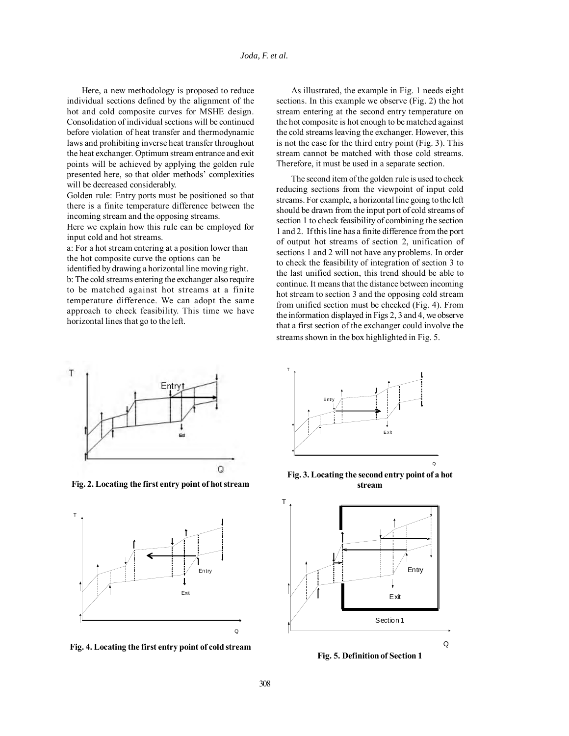Here, a new methodology is proposed to reduce individual sections defined by the alignment of the hot and cold composite curves for MSHE design. Consolidation of individual sections will be continued before violation of heat transfer and thermodynamic laws and prohibiting inverse heat transfer throughout the heat exchanger. Optimum stream entrance and exit points will be achieved by applying the golden rule presented here, so that older methods' complexities will be decreased considerably.

Golden rule: Entry ports must be positioned so that there is a finite temperature difference between the incoming stream and the opposing streams.

Here we explain how this rule can be employed for input cold and hot streams.

a: For a hot stream entering at a position lower than the hot composite curve the options can be

identified by drawing a horizontal line moving right. b: The cold streams entering the exchanger also require to be matched against hot streams at a finite temperature difference. We can adopt the same approach to check feasibility. This time we have horizontal lines that go to the left.

As illustrated, the example in Fig. 1 needs eight sections. In this example we observe (Fig. 2) the hot stream entering at the second entry temperature on the hot composite is hot enough to be matched against the cold streams leaving the exchanger. However, this is not the case for the third entry point (Fig. 3). This stream cannot be matched with those cold streams. Therefore, it must be used in a separate section.

The second item of the golden rule is used to check reducing sections from the viewpoint of input cold streams. For example, a horizontal line going to the left should be drawn from the input port of cold streams of section 1 to check feasibility of combining the section 1 and 2. If this line has a finite difference from the port of output hot streams of section 2, unification of sections 1 and 2 will not have any problems. In order to check the feasibility of integration of section 3 to the last unified section, this trend should be able to continue. It means that the distance between incoming hot stream to section 3 and the opposing cold stream from unified section must be checked (Fig. 4). From the information displayed in Figs 2, 3 and 4, we observe that a first section of the exchanger could involve the streams shown in the box highlighted in Fig. 5.



**Fig. 2. Locating the first entry point of hot stream**



**Fig. 4. Locating the first entry point of cold stream**



**Fig. 3. Locating the second entry point of a hot stream**



**Fig. 5. Definition of Section 1**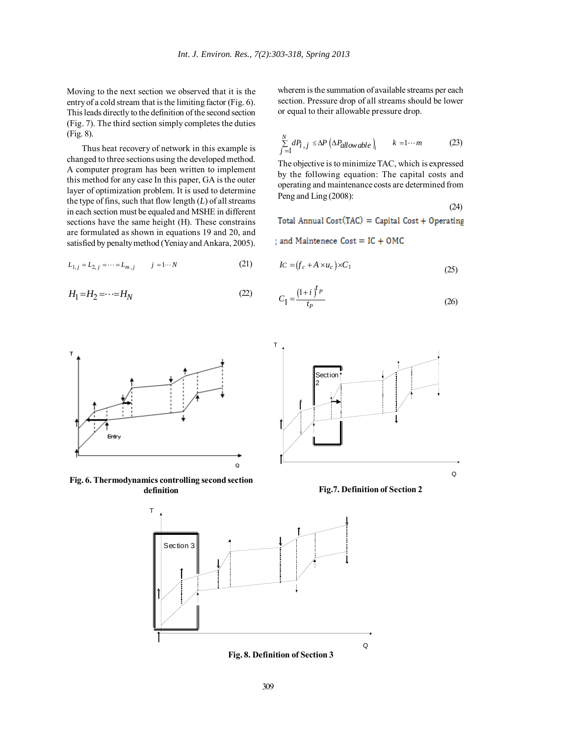Moving to the next section we observed that it is the entry of a cold stream that is the limiting factor (Fig. 6). This leads directly to the definition of the second section (Fig. 7). The third section simply completes the duties (Fig. 8).

Thus heat recovery of network in this example is changed to three sections using the developed method. A computer program has been written to implement this method for any case In this paper, GA is the outer layer of optimization problem. It is used to determine the type of fins, such that flow length (*L*) of all streams in each section must be equaled and MSHE in different sections have the same height (H). These constrains are formulated as shown in equations 19 and 20, and satisfied by penalty method (Yeniay and Ankara, 2005).

$$
L_{1,j} = L_{2,j} = \dots = L_{m,j} \qquad j = 1 \dots N \tag{21}
$$

$$
H_1 = H_2 = \cdots = H_N \tag{22}
$$

wherem is the summation of available streams per each section. Pressure drop of all streams should be lower or equal to their allowable pressure drop.

$$
\sum_{j=1}^{N} dP_{i,j} \le \Delta P \left(\Delta P_{allowable} \right)_i \qquad k = 1 \cdots m \tag{23}
$$

The objective is to minimize TAC, which is expressed by the following equation: The capital costs and operating and maintenance costs are determined from Peng and Ling (2008):

$$
(24)
$$

Total Annual Cost(TAC) = Capital Cost + Operating

and Maintenece Cost = IC + OMC

$$
IC = (f_c + A \times u_c) \times C_1 \tag{25}
$$

$$
C_1 = \frac{\left(1+i\right)^{t_P}}{t_P} \tag{26}
$$







**Fig.7. Definition of Section 2**



**Fig. 8. Definition of Section 3**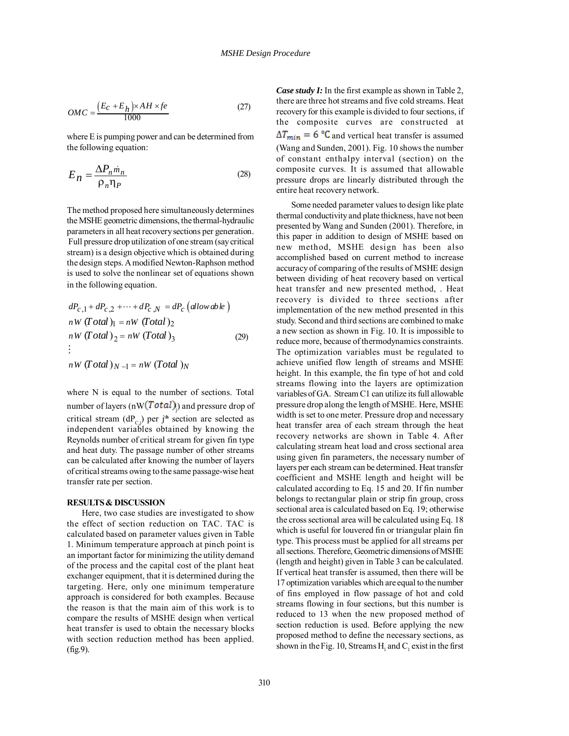$$
OMC = \frac{(E_C + E_h) \times AH \times fe}{1000}
$$
 (27)

where E is pumping power and can be determined from the following equation:

$$
E_n = \frac{\Delta P_n \dot{m}_n}{\rho_n \eta_P} \tag{28}
$$

The method proposed here simultaneously determines the MSHE geometric dimensions, the thermal-hydraulic parameters in all heat recovery sections per generation. Full pressure drop utilization of one stream (say critical stream) is a design objective which is obtained during the design steps. A modified Newton-Raphson method is used to solve the nonlinear set of equations shown in the following equation.

$$
dP_{c,1} + dP_{c,2} + \cdots + dP_{c,N} = dP_c \left( \text{allowable} \right)
$$
  
\n
$$
nW \left( \text{Total} \right)_{1} = nW \left( \text{Total} \right)_{2}
$$
  
\n
$$
nW \left( \text{Total} \right)_{2} = nW \left( \text{Total} \right)_{3}
$$
  
\n
$$
\vdots
$$
\n(29)

 $nW (Total)_{N-1} = nW (Total)_{N}$ 

where N is equal to the number of sections. Total number of layers (nW $(Total)$ ) and pressure drop of critical stream  $(dP_{C,j})$  per j<sup>th</sup> section are selected as independent variables obtained by knowing the Reynolds number of critical stream for given fin type and heat duty. The passage number of other streams can be calculated after knowing the number of layers of critical streams owing to the same passage-wise heat transfer rate per section.

#### **RESULTS & DISCUSSION**

Here, two case studies are investigated to show the effect of section reduction on TAC. TAC is calculated based on parameter values given in Table 1. Minimum temperature approach at pinch point is an important factor for minimizing the utility demand of the process and the capital cost of the plant heat exchanger equipment, that it is determined during the targeting. Here, only one minimum temperature approach is considered for both examples. Because the reason is that the main aim of this work is to compare the results of MSHE design when vertical heat transfer is used to obtain the necessary blocks with section reduction method has been applied. (fig.9).

*Case study I:* In the first example as shown in Table 2, there are three hot streams and five cold streams. Heat recovery for this example is divided to four sections, if the composite curves are constructed at  $\Delta T_{min} = 6$  °C and vertical heat transfer is assumed (Wang and Sunden, 2001). Fig. 10 shows the number of constant enthalpy interval (section) on the composite curves. It is assumed that allowable pressure drops are linearly distributed through the entire heat recovery network.

Some needed parameter values to design like plate thermal conductivity and plate thickness, have not been presented by Wang and Sunden (2001). Therefore, in this paper in addition to design of MSHE based on new method, MSHE design has been also accomplished based on current method to increase accuracy of comparing of the results of MSHE design between dividing of heat recovery based on vertical heat transfer and new presented method, . Heat recovery is divided to three sections after implementation of the new method presented in this study. Second and third sections are combined to make a new section as shown in Fig. 10. It is impossible to reduce more, because of thermodynamics constraints. The optimization variables must be regulated to achieve unified flow length of streams and MSHE height. In this example, the fin type of hot and cold streams flowing into the layers are optimization variables of GA. Stream C1 can utilize its full allowable pressure drop along the length of MSHE. Here, MSHE width is set to one meter. Pressure drop and necessary heat transfer area of each stream through the heat recovery networks are shown in Table 4. After calculating stream heat load and cross sectional area using given fin parameters, the necessary number of layers per each stream can be determined. Heat transfer coefficient and MSHE length and height will be calculated according to Eq. 15 and 20. If fin number belongs to rectangular plain or strip fin group, cross sectional area is calculated based on Eq. 19; otherwise the cross sectional area will be calculated using Eq. 18 which is useful for louvered fin or triangular plain fin type. This process must be applied for all streams per all sections. Therefore, Geometric dimensions of MSHE (length and height) given in Table 3 can be calculated. If vertical heat transfer is assumed, then there will be 17 optimization variables which are equal to the number of fins employed in flow passage of hot and cold streams flowing in four sections, but this number is reduced to 13 when the new proposed method of section reduction is used. Before applying the new proposed method to define the necessary sections, as shown in the Fig. 10, Streams  $H_1$  and  $C_1$  exist in the first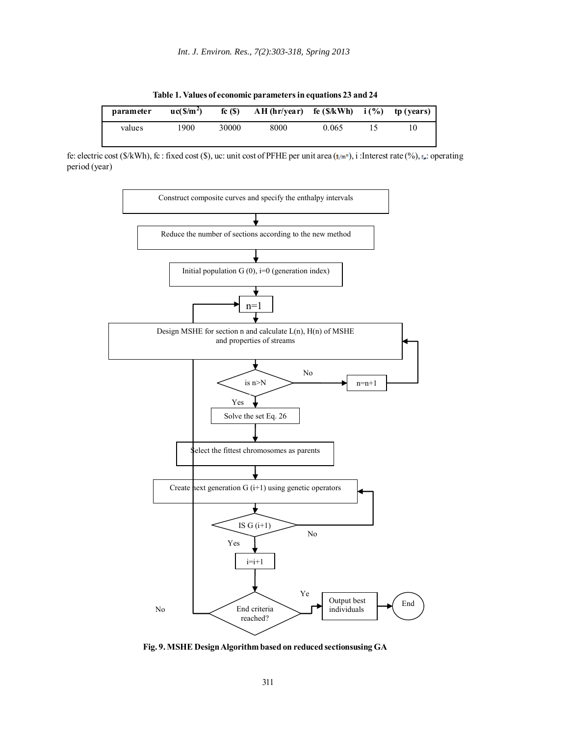**Table 1. Values of economic parameters in equations 23 and 24**

| parameter | uc(S/m <sup>2</sup> ) | fc(S) | $AH$ (hr/year) | fe (\$/kWh) | i(% | tp (years) |
|-----------|-----------------------|-------|----------------|-------------|-----|------------|
| values    | 1900                  | 30000 | 8000           | 0.065       |     | l O        |

fe: electric cost (\$/kWh), fc : fixed cost (\$), uc: unit cost of PFHE per unit area ( $\frac{s}{m^*}$ ), i : Interest rate (%),  $\frac{s}{n^*}$ : operating period (year)



**Fig. 9. MSHE Design Algorithm based on reduced sectionsusing GA**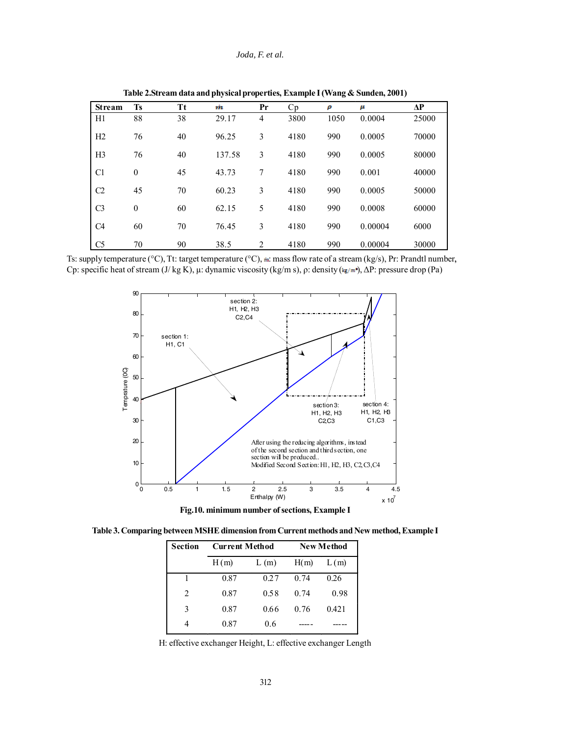## *Joda, F. et al.*

| <b>Stream</b>  | <b>Ts</b>        | Tt | m      | Pr             | Cp   | ρ    | μ       | ΔP    |
|----------------|------------------|----|--------|----------------|------|------|---------|-------|
| H1             | 88               | 38 | 29.17  | $\overline{4}$ | 3800 | 1050 | 0.0004  | 25000 |
| H2             | 76               | 40 | 96.25  | 3              | 4180 | 990  | 0.0005  | 70000 |
| H <sub>3</sub> | 76               | 40 | 137.58 | 3              | 4180 | 990  | 0.0005  | 80000 |
| C <sub>1</sub> | $\boldsymbol{0}$ | 45 | 43.73  | 7              | 4180 | 990  | 0.001   | 40000 |
| C <sub>2</sub> | 45               | 70 | 60.23  | 3              | 4180 | 990  | 0.0005  | 50000 |
| C <sub>3</sub> | $\mathbf{0}$     | 60 | 62.15  | 5              | 4180 | 990  | 0.0008  | 60000 |
| C <sub>4</sub> | 60               | 70 | 76.45  | 3              | 4180 | 990  | 0.00004 | 6000  |
| C <sub>5</sub> | 70               | 90 | 38.5   | 2              | 4180 | 990  | 0.00004 | 30000 |

**Table 2.Stream data and physical properties, Example I (Wang & Sunden, 2001)**

Ts: supply temperature ( $°C$ ), Tt: target temperature ( $°C$ ),  $\dot{m}$ : mass flow rate of a stream (kg/s), Pr: Prandtl number, Cp: specific heat of stream  $(J/\text{kg K})$ ,  $\mu$ : dynamic viscosity (kg/m s),  $\rho$ : density (kg/m<sup>2</sup>),  $\Delta P$ : pressure drop (Pa)



**Fig.10. minimum number of sections, Example I**

**Table 3. Comparing between MSHE dimension from Current methods and New method, Example I**

| <b>Section</b> | <b>Current Method</b> |      |      | <b>New Method</b> |
|----------------|-----------------------|------|------|-------------------|
|                | H(m)                  | L(m) |      | L(m)              |
|                | 0.87                  | 0.27 | 0.74 | 0.26              |
| 2              | 0.87                  | 0.58 | 0.74 | 0.98              |
| 3              | 0.87                  | 0.66 | 0.76 | 0.421             |
| 4              | 0.87                  | 0.6  |      |                   |

H: effective exchanger Height, L: effective exchanger Length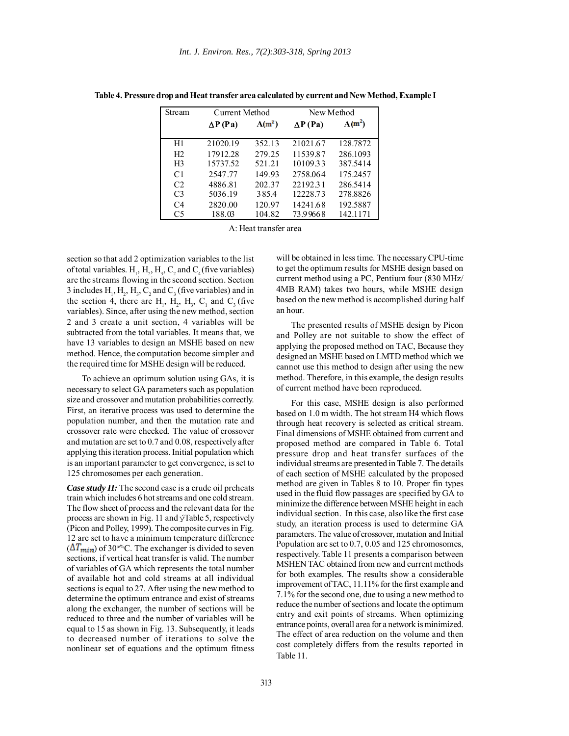| <b>Stream</b>  |                 | Current Method |                 | New Method |
|----------------|-----------------|----------------|-----------------|------------|
|                | $\Delta P$ (Pa) | $A(m^2)$       | $\Delta P$ (Pa) | $A(m^2)$   |
| H1             | 21020.19        | 352.13         | 21021.67        | 128.7872   |
| H <sub>2</sub> | 17912.28        | 279.25         | 11539.87        | 286.1093   |
| H <sub>3</sub> | 15737.52        | 521.21         | 10109.33        | 387.5414   |
| C <sub>1</sub> | 2547.77         | 149.93         | 2758.064        | 175.2457   |
| C <sub>2</sub> | 4886.81         | 202.37         | 22192.31        | 286.5414   |
| C <sub>3</sub> | 5036.19         | 385.4          | 12228.73        | 278.8826   |
| C <sub>4</sub> | 2820.00         | 120.97         | 14241.68        | 192.5887   |
| C5             | 188.03          | 104.82         | 73.99668        | 142.1171   |

**Table 4. Pressure drop and Heat transfer area calculated by current and New Method, Example I**

A: Heat transfer area

section so that add 2 optimization variables to the list of total variables.  $H_1$ ,  $H_2$ ,  $H_3$ ,  $C_2$  and  $C_4$  (five variables) are the streams flowing in the second section. Section 3 includes  $H_1$ ,  $H_2$ ,  $H_3$ ,  $C_2$  and  $C_3$  (five variables) and in the section 4, there are  $H_1$ ,  $H_2$ ,  $H_3$ ,  $C_1$  and  $C_3$  (five variables). Since, after using the new method, section 2 and 3 create a unit section, 4 variables will be subtracted from the total variables. It means that, we have 13 variables to design an MSHE based on new method. Hence, the computation become simpler and the required time for MSHE design will be reduced.

To achieve an optimum solution using GAs, it is necessary to select GA parameters such as population size and crossover and mutation probabilities correctly. First, an iterative process was used to determine the population number, and then the mutation rate and crossover rate were checked. The value of crossover and mutation are set to 0.7 and 0.08, respectively after applying this iteration process. Initial population which is an important parameter to get convergence, is set to 125 chromosomes per each generation.

*Case study II:* The second case is a crude oil preheats train which includes 6 hot streams and one cold stream. The flow sheet of process and the relevant data for the process are shown in Fig. 11 and ýTable 5, respectively (Picon and Polley, 1999). The composite curves in Fig. 12 are set to have a minimum temperature difference  $(\Delta T_{\text{min}})$  of 30<sup>æ%</sup>C. The exchanger is divided to seven sections, if vertical heat transfer is valid. The number of variables of GA which represents the total number of available hot and cold streams at all individual sections is equal to 27. After using the new method to determine the optimum entrance and exist of streams along the exchanger, the number of sections will be reduced to three and the number of variables will be equal to 15 as shown in Fig. 13. Subsequently, it leads to decreased number of iterations to solve the nonlinear set of equations and the optimum fitness

will be obtained in less time. The necessary CPU-time to get the optimum results for MSHE design based on current method using a PC, Pentium four (830 MHz/ 4MB RAM) takes two hours, while MSHE design based on the new method is accomplished during half an hour.

The presented results of MSHE design by Picon and Polley are not suitable to show the effect of applying the proposed method on TAC, Because they designed an MSHE based on LMTD method which we cannot use this method to design after using the new method. Therefore, in this example, the design results of current method have been reproduced.

For this case, MSHE design is also performed based on 1.0 m width. The hot stream H4 which flows through heat recovery is selected as critical stream. Final dimensions of MSHE obtained from current and proposed method are compared in Table 6. Total pressure drop and heat transfer surfaces of the individual streams are presented in Table 7. The details of each section of MSHE calculated by the proposed method are given in Tables 8 to 10. Proper fin types used in the fluid flow passages are specified by GA to minimize the difference between MSHE height in each individual section. In this case, also like the first case study, an iteration process is used to determine GA parameters. The value of crossover, mutation and Initial Population are set to 0.7, 0.05 and 125 chromosomes, respectively. Table 11 presents a comparison between MSHEN TAC obtained from new and current methods for both examples. The results show a considerable improvement of TAC, 11.11% for the first example and 7.1% for the second one, due to using a new method to reduce the number of sections and locate the optimum entry and exit points of streams. When optimizing entrance points, overall area for a network is minimized. The effect of area reduction on the volume and then cost completely differs from the results reported in Table 11.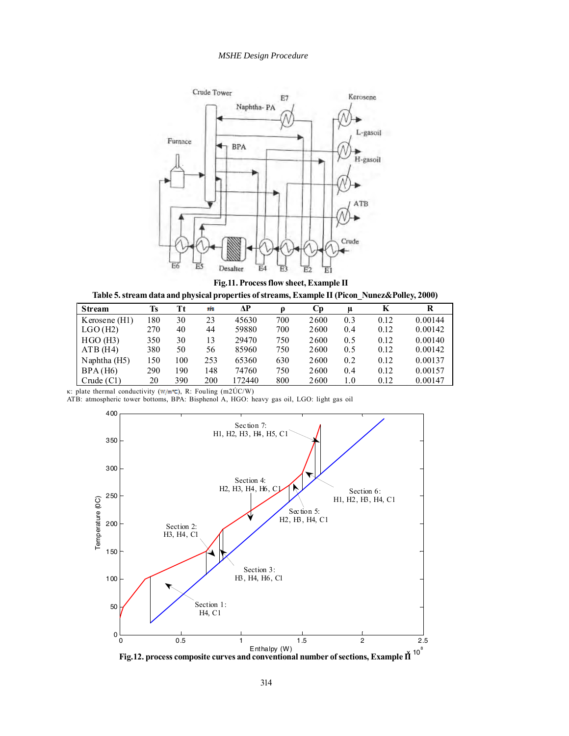## *MSHE Design Procedure*



**Fig.11. Process flow sheet, Example II**



| <b>Stream</b> | Ts   | Tt  | m   | ЛP    |     | Cр   | $\mu$ | K    | R       |
|---------------|------|-----|-----|-------|-----|------|-------|------|---------|
| Kerosene (H1) | 80   | 30  | 23  | 45630 | 700 | 2600 | 0.3   | 0.12 | 0.00144 |
| LGO(H2)       | 270  | 40  | 44  | 59880 | 700 | 2600 | 0.4   | 0.12 | 0.00142 |
| HGO(H3)       | 350  | 30  | 13  | 29470 | 750 | 2600 | 0.5   | 0.12 | 0.00140 |
| $ATB$ (H4)    | 380  | 50  | 56  | 85960 | 750 | 2600 | 0.5   | 0.12 | 0.00142 |
| Naphtha (H5)  | l 50 | 100 | 253 | 65360 | 630 | 2600 | 0.2   | 0.12 | 0.00137 |
| BPA(H6)       | 290  | 190 | 148 | 74760 | 750 | 2600 | 0.4   | 0.12 | 0.00157 |
| Crude $(Cl)$  | 20   | 390 | 200 | 72440 | 800 | 2600 | 1.0   | 0.12 | 0.00147 |

κ: plate thermal conductivity (w/m<sup>n</sup>C), R: Fouling (m2ÚC/W)

ATB: atmospheric tower bottoms, BPA: Bisphenol A, HGO: heavy gas oil, LGO: light gas oil

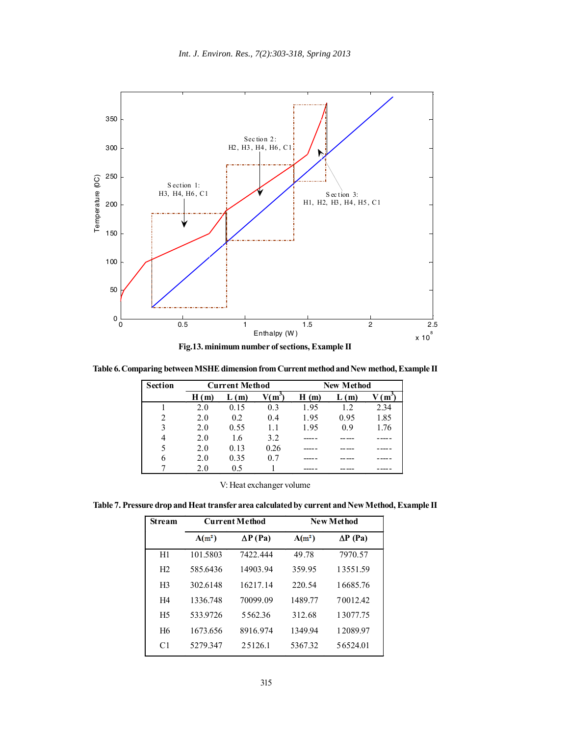

**Table 6. Comparing between MSHE dimension from Current method and New method, Example II**

| <b>Section</b> | <b>Current Method</b> |      |      | <b>New Method</b> |      |      |  |
|----------------|-----------------------|------|------|-------------------|------|------|--|
|                | H(m)                  | (m)  | (m)  | H(m)              | (m)  | m    |  |
|                | 2.0                   | 0.15 | 0.3  | 1.95              | 12   | 2.34 |  |
| 2              | 2.0                   | 0.2  | 0.4  | 1.95              | 0.95 | 1.85 |  |
| 3              | 2.0                   | 0.55 | 1.1  | 1.95              | 0.9  | 1.76 |  |
| 4              | 2.0                   | 1.6  | 3.2  |                   |      |      |  |
|                | 2.0                   | 0.13 | 0.26 |                   |      |      |  |
| 6              | 2.0                   | 0.35 | 0.7  |                   |      |      |  |
|                | 2.0                   | 0.5  |      |                   |      |      |  |

| V: Heat exchanger volume |
|--------------------------|
|--------------------------|

**Table 7. Pressure drop and Heat transfer area calculated by current and New Method, Example II**

| <b>Stream</b>  |          | <b>Current Method</b> |          | New Method      |
|----------------|----------|-----------------------|----------|-----------------|
|                | $A(m^2)$ | $\Delta P$ (Pa)       | $A(m^2)$ | $\Delta P$ (Pa) |
| H1             | 101.5803 | 7422.444              | 49.78    | 7970.57         |
| H <sub>2</sub> | 585.6436 | 14903.94              | 359.95   | 13551.59        |
| H <sub>3</sub> | 302.6148 | 16217.14              | 220.54   | 16685.76        |
| H <sub>4</sub> | 1336.748 | 70099.09              | 1489.77  | 70012.42        |
| H <sub>5</sub> | 533.9726 | 5562.36               | 312.68   | 13077.75        |
| H <sub>6</sub> | 1673.656 | 8916.974              | 1349.94  | 12089.97        |
| C <sub>1</sub> | 5279.347 | 25126.1               | 5367.32  | 56524.01        |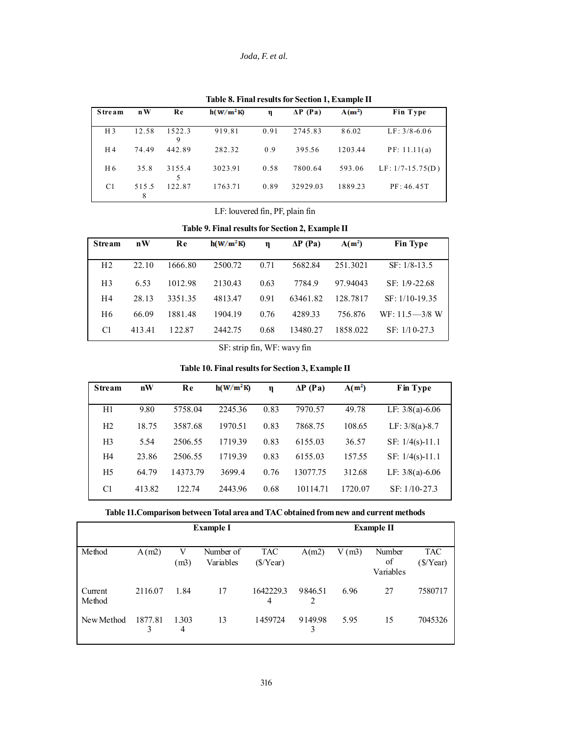# *Joda, F. et al.*

| Stream         | $\mathbf{n} \mathbf{W}$ | Re          | h(W/m <sup>2</sup> K) | $\mathbf n$ | $\Delta P$ (Pa) | $A(m^2)$ | Fin Type           |
|----------------|-------------------------|-------------|-----------------------|-------------|-----------------|----------|--------------------|
| H <sub>3</sub> | 12.58                   | 1522.3<br>9 | 919.81                | 0.91        | 2745.83         | 86.02    | $LF: 3/8-6.06$     |
| H <sub>4</sub> | 74.49                   | 442.89      | 282.32                | 0.9         | 395.56          | 1203.44  | PF: 11.11(a)       |
| H 6            | 35.8                    | 3155.4      | 3023.91               | 0.58        | 7800.64         | 593.06   | $LF: 1/7-15.75(D)$ |
| C1             | 515.5<br>8              | 122.87      | 1763.71               | 0.89        | 32929.03        | 1889.23  | PF: 46.45T         |

**Table 8. Final results for Section 1, Example II**

LF: louvered fin, PF, plain fin

**Table 9. Final results for Section 2, Example II**

| Stream         | nW     | Re      | h(W/m <sup>2</sup> R) | η    | $\Delta P$ (Pa) | $A(m^2)$ | <b>Fin Type</b>    |
|----------------|--------|---------|-----------------------|------|-----------------|----------|--------------------|
|                |        |         |                       |      |                 |          |                    |
| H <sub>2</sub> | 22.10  | 1666.80 | 2500.72               | 0.71 | 5682.84         | 251.3021 | $SF: 1/8-13.5$     |
| H <sub>3</sub> | 6.53   | 1012.98 | 2130.43               | 0.63 | 77849           | 97 94043 | $SF: 1/9-22.68$    |
| H4             | 28.13  | 3351 35 | 4813.47               | 0.91 | 63461.82        | 128.7817 | $SF: 1/10-19.35$   |
| H <sub>6</sub> | 66.09  | 1881.48 | 1904.19               | 0.76 | 4289.33         | 756.876  | $WF: 11.5 - 3/8$ W |
| C1             | 413.41 | 1 22.87 | 2442.75               | 0.68 | 13480.27        | 1858.022 | SF: 1/10-27.3      |

SF: strip fin, WF: wavy fin

# **Table 10. Final results for Section 3, Example II**

| <b>Stream</b>  | nW     | Re       | h(W/m <sup>2</sup> K) | η    | $\Delta P$ (Pa) | $A(m^2)$ | Fin Type            |
|----------------|--------|----------|-----------------------|------|-----------------|----------|---------------------|
| H1             | 9.80   | 5758.04  | 2245.36               | 0.83 | 7970.57         | 49.78    | LF: $3/8(a) - 6.06$ |
| H <sub>2</sub> | 18.75  | 3587.68  | 1970.51               | 0.83 | 7868.75         | 108.65   | LF: $3/8(a)-8.7$    |
| H <sub>3</sub> | 5.54   | 2506.55  | 1719.39               | 0.83 | 6155.03         | 36.57    | SF: $1/4(s)$ -11.1  |
| H4             | 23.86  | 2506.55  | 1719.39               | 0.83 | 6155.03         | 157.55   | SF: $1/4(s)$ -11.1  |
| H <sub>5</sub> | 64.79  | 14373.79 | 3699.4                | 0.76 | 13077.75        | 312.68   | LF: $3/8(a) - 6.06$ |
| C1             | 413.82 | 122.74   | 2443.96               | 0.68 | 10114.71        | 1720.07  | SF: 1/10-27.3       |

| Table 11.Comparison between Total area and TAC obtained from new and current methods |  |  |
|--------------------------------------------------------------------------------------|--|--|
|--------------------------------------------------------------------------------------|--|--|

|                   | <b>Example I</b> |            |                        |                                     | <b>Example II</b> |       |                           |                                     |
|-------------------|------------------|------------|------------------------|-------------------------------------|-------------------|-------|---------------------------|-------------------------------------|
| Method            | A(m2)            | V<br>(m3)  | Number of<br>Variables | <b>TAC</b><br>$(\frac{\sqrt{}}{2})$ | A(m2)             | V(m3) | Number<br>of<br>Variables | <b>TAC</b><br>$(\frac{\sqrt{}}{2})$ |
| Current<br>Method | 2116.07          | 1.84       | 17                     | 1642229.3<br>4                      | 9846.51<br>2      | 6.96  | 27                        | 7580717                             |
| New Method        | 1877.81<br>3     | 1.303<br>4 | 13                     | 1459724                             | 9149.98<br>3      | 5.95  | 15                        | 7045326                             |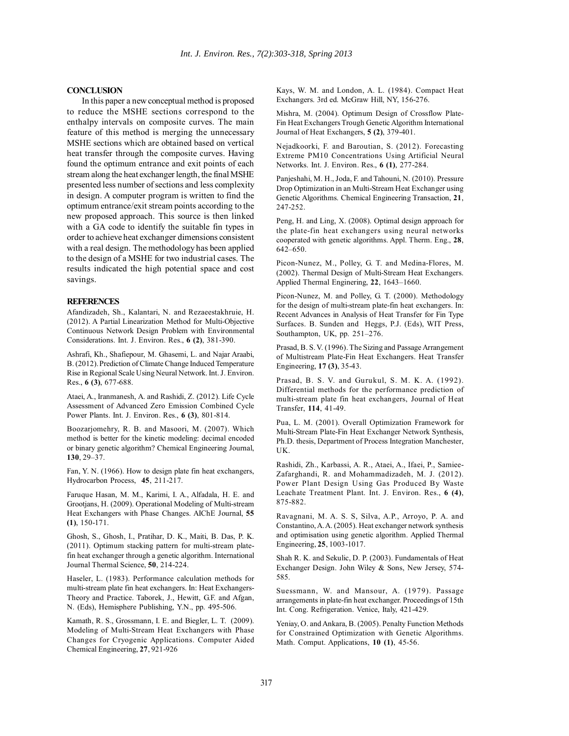# **CONCLUSION**

In this paper a new conceptual method is proposed to reduce the MSHE sections correspond to the enthalpy intervals on composite curves. The main feature of this method is merging the unnecessary MSHE sections which are obtained based on vertical heat transfer through the composite curves. Having found the optimum entrance and exit points of each stream along the heat exchanger length, the final MSHE presented less number of sections and less complexity in design. A computer program is written to find the optimum entrance/exit stream points according to the new proposed approach. This source is then linked with a GA code to identify the suitable fin types in order to achieve heat exchanger dimensions consistent with a real design. The methodology has been applied to the design of a MSHE for two industrial cases. The results indicated the high potential space and cost savings.

#### **REFERENCES**

Afandizadeh, Sh., Kalantari, N. and Rezaeestakhruie, H. (2012). A Partial Linearization Method for Multi-Objective Continuous Network Design Problem with Environmental Considerations. Int. J. Environ. Res., **6 (2)**, 381-390.

Ashrafi, Kh., Shafiepour, M. Ghasemi, L. and Najar Araabi, B. (2012). Prediction of Climate Change Induced Temperature Rise in Regional Scale Using Neural Network. Int. J. Environ. Res., **6 (3)**, 677-688.

Ataei, A., Iranmanesh, A. and Rashidi, Z. (2012). Life Cycle Assessment of Advanced Zero Emission Combined Cycle Power Plants. Int. J. Environ. Res., **6 (3)**, 801-814.

Boozarjomehry, R. B. and Masoori, M. (2007). Which method is better for the kinetic modeling: decimal encoded or binary genetic algorithm? Chemical Engineering Journal, **130**, 29–37.

Fan, Y. N. (1966). How to design plate fin heat exchangers, Hydrocarbon Process, **45**, 211-217.

Faruque Hasan, M. M., Karimi, I. A., Alfadala, H. E. and Grootjans, H. (2009). Operational Modeling of Multi-stream Heat Exchangers with Phase Changes. AIChE Journal, **55 (1)**, 150-171.

Ghosh, S., Ghosh, I., Pratihar, D. K., Maiti, B. Das, P. K. (2011). Optimum stacking pattern for multi-stream platefin heat exchanger through a genetic algorithm. International Journal Thermal Science, **50**, 214-224.

Haseler, L. (1983). Performance calculation methods for multi-stream plate fin heat exchangers. In: Heat Exchangers-Theory and Practice. Taborek, J., Hewitt, G.F. and Afgan, N. (Eds), Hemisphere Publishing, Y.N., pp. 495-506.

Kamath, R. S., Grossmann, I. E. and Biegler, L. T. (2009). Modeling of Multi-Stream Heat Exchangers with Phase Changes for Cryogenic Applications. Computer Aided Chemical Engineering, **27**, 921-926

Kays, W. M. and London, A. L. (1984). Compact Heat Exchangers. 3rd ed. McGraw Hill, NY, 156-276.

Mishra, M. (2004). Optimum Design of Crossflow Plate-Fin Heat Exchangers Trough Genetic Algorithm International Journal of Heat Exchangers, **5 (2)**, 379-401.

Nejadkoorki, F. and Baroutian, S. (2012). Forecasting Extreme PM10 Concentrations Using Artificial Neural Networks. Int. J. Environ. Res., **6 (1)**, 277-284.

Panjeshahi, M. H., Joda, F. and Tahouni, N. (2010). Pressure Drop Optimization in an Multi-Stream Heat Exchanger using Genetic Algorithms. Chemical Engineering Transaction, **21**, 247-252.

Peng, H. and Ling, X. (2008). Optimal design approach for the plate-fin heat exchangers using neural networks cooperated with genetic algorithms. Appl. Therm. Eng., **28**, 642–650.

Picon-Nunez, M., Polley, G. T. and Medina-Flores, M. (2002). Thermal Design of Multi-Stream Heat Exchangers. Applied Thermal Enginering, **22**, 1643–1660.

Picon-Nunez, M. and Polley, G. T. (2000). Methodology for the design of multi-stream plate-fin heat exchangers. In: Recent Advances in Analysis of Heat Transfer for Fin Type Surfaces. B. Sunden and Heggs, P.J. (Eds), WIT Press, Southampton, UK, pp. 251–276.

Prasad, B. S. V. (1996). The Sizing and Passage Arrangement of Multistream Plate-Fin Heat Exchangers. Heat Transfer Engineering, **17 (3)**, 35-43.

Prasad, B. S. V. and Gurukul, S. M. K. A. (1992). Differential methods for the performance prediction of multi-stream plate fin heat exchangers, Journal of Heat Transfer, **114**, 41-49.

Pua, L. M. (2001). Overall Optimization Framework for Multi-Stream Plate-Fin Heat Exchanger Network Synthesis, Ph.D. thesis, Department of Process Integration Manchester, UK.

Rashidi, Zh., Karbassi, A. R., Ataei, A., Ifaei, P., Samiee-Zafarghandi, R. and Mohammadizadeh, M. J. (2012). Power Plant Design Using Gas Produced By Waste Leachate Treatment Plant. Int. J. Environ. Res., **6 (4)**, 875-882.

Ravagnani, M. A. S. S, Silva, A.P., Arroyo, P. A. and Constantino, A. A. (2005). Heat exchanger network synthesis and optimisation using genetic algorithm. Applied Thermal Engineering, **25**, 1003-1017.

Shah R. K. and Sekulic, D. P. (2003). Fundamentals of Heat Exchanger Design. John Wiley & Sons, New Jersey, 574- 585.

Suessmann, W. and Mansour, A. (1979). Passage arrangements in plate-fin heat exchanger. Proceedings of 15th Int. Cong. Refrigeration. Venice, Italy, 421-429.

Yeniay, O. and Ankara, B. (2005). Penalty Function Methods for Constrained Optimization with Genetic Algorithms. Math. Comput. Applications, **10 (1)**, 45-56.